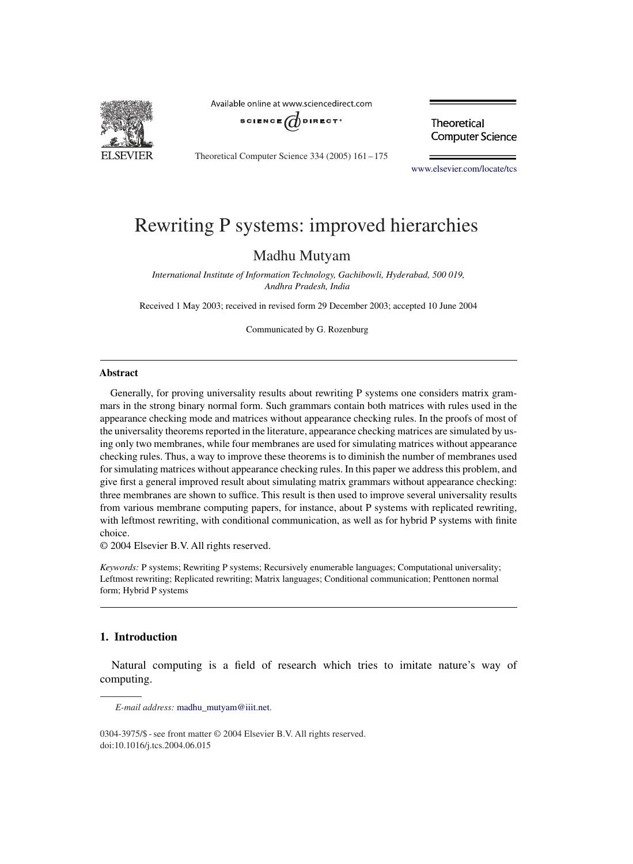

Available online at www.sciencedirect.com



Theoretical Computer Science 334 (2005) 161 –175

Theoretical **Computer Science** 

www.elsevier.com/locate/tcs

# Rewriting P systems: improved hierarchies

# Madhu Mutyam

*International Institute of Information Technology, Gachibowli, Hyderabad, 500 019, Andhra Pradesh, India*

Received 1 May 2003; received in revised form 29 December 2003; accepted 10 June 2004

Communicated by G. Rozenburg

#### **Abstract**

Generally, for proving universality results about rewriting P systems one considers matrix grammars in the strong binary normal form. Such grammars contain both matrices with rules used in the appearance checking mode and matrices without appearance checking rules. In the proofs of most of the universality theorems reported in the literature, appearance checking matrices are simulated by using only two membranes, while four membranes are used for simulating matrices without appearance checking rules. Thus, a way to improve these theorems is to diminish the number of membranes used for simulating matrices without appearance checking rules. In this paper we address this problem, and give first a general improved result about simulating matrix grammars without appearance checking: three membranes are shown to suffice. This result is then used to improve several universality results from various membrane computing papers, for instance, about P systems with replicated rewriting, with leftmost rewriting, with conditional communication, as well as for hybrid P systems with finite choice.

© 2004 Elsevier B.V. All rights reserved.

*Keywords:* P systems; Rewriting P systems; Recursively enumerable languages; Computational universality; Leftmost rewriting; Replicated rewriting; Matrix languages; Conditional communication; Penttonen normal form; Hybrid P systems

#### **1. Introduction**

Natural computing is a field of research which tries to imitate nature's way of computing.

*E-mail address:* madhu\_mutyam@iiit.net.

<sup>0304-3975/\$ -</sup> see front matter © 2004 Elsevier B.V. All rights reserved. doi:10.1016/j.tcs.2004.06.015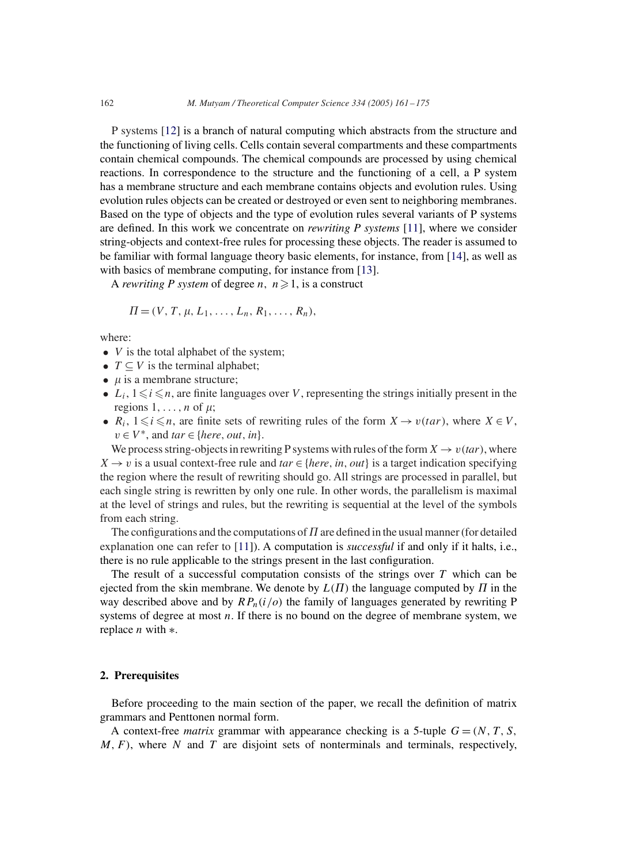P systems [12] is a branch of natural computing which abstracts from the structure and the functioning of living cells. Cells contain several compartments and these compartments contain chemical compounds. The chemical compounds are processed by using chemical reactions. In correspondence to the structure and the functioning of a cell, a P system has a membrane structure and each membrane contains objects and evolution rules. Using evolution rules objects can be created or destroyed or even sent to neighboring membranes. Based on the type of objects and the type of evolution rules several variants of P systems are defined. In this work we concentrate on *rewriting P systems* [11], where we consider string-objects and context-free rules for processing these objects. The reader is assumed to be familiar with formal language theory basic elements, for instance, from [14], as well as with basics of membrane computing, for instance from [13].

A *rewriting P system* of degree *n*,  $n \ge 1$ , is a construct

$$
\Pi=(V, T, \mu, L_1, \ldots, L_n, R_1, \ldots, R_n),
$$

where:

- $V$  is the total alphabet of the system;
- $T \subseteq V$  is the terminal alphabet;
- $\mu$  is a membrane structure;
- $L_i$ ,  $1 \leq i \leq n$ , are finite languages over V, representing the strings initially present in the regions  $1, \ldots, n$  of  $\mu$ ;
- $R_i$ ,  $1 \leq i \leq n$ , are finite sets of rewriting rules of the form  $X \to v(tar)$ , where  $X \in V$ ,  $v \in V^*$ , and  $tar \in \{here, out, in\}.$

We process string-objects in rewriting P systems with rules of the form  $X \to v(tar)$ , where  $X \rightarrow v$  is a usual context-free rule and *tar*  $\in$  {*here, in, out*} is a target indication specifying the region where the result of rewriting should go. All strings are processed in parallel, but each single string is rewritten by only one rule. In other words, the parallelism is maximal at the level of strings and rules, but the rewriting is sequential at the level of the symbols from each string.

The configurations and the computations of  $\Pi$  are defined in the usual manner (for detailed explanation one can refer to [11]). A computation is *successful* if and only if it halts, i.e., there is no rule applicable to the strings present in the last configuration.

The result of a successful computation consists of the strings over  $T$  which can be ejected from the skin membrane. We denote by  $L(\Pi)$  the language computed by  $\Pi$  in the way described above and by  $RP_n(i|o)$  the family of languages generated by rewriting P systems of degree at most *n*. If there is no bound on the degree of membrane system, we replace  $n$  with  $*$ .

## **2. Prerequisites**

Before proceeding to the main section of the paper, we recall the definition of matrix grammars and Penttonen normal form.

A context-free *matrix* grammar with appearance checking is a 5-tuple  $G = (N, T, S, \mathbf{S})$  $M, F$ ), where N and T are disjoint sets of nonterminals and terminals, respectively,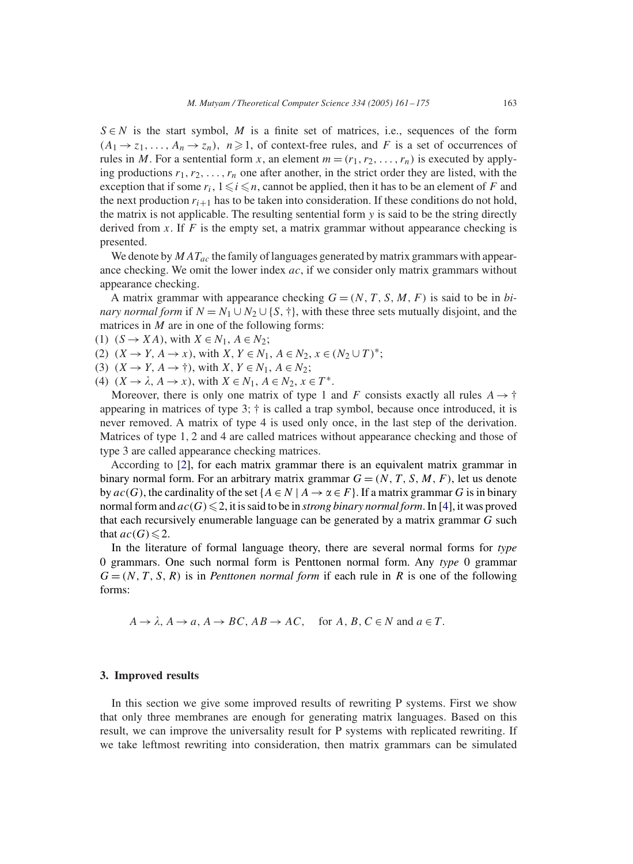$S \in N$  is the start symbol, M is a finite set of matrices, i.e., sequences of the form  $(A_1 \rightarrow z_1, \ldots, A_n \rightarrow z_n)$ ,  $n \ge 1$ , of context-free rules, and F is a set of occurrences of rules in M. For a sentential form x, an element  $m = (r_1, r_2, \ldots, r_n)$  is executed by applying productions  $r_1, r_2, \ldots, r_n$  one after another, in the strict order they are listed, with the exception that if some  $r_i$ ,  $1 \leq i \leq n$ , cannot be applied, then it has to be an element of F and the next production  $r_{i+1}$  has to be taken into consideration. If these conditions do not hold, the matrix is not applicable. The resulting sentential form  $y$  is said to be the string directly derived from  $x$ . If  $F$  is the empty set, a matrix grammar without appearance checking is presented.

We denote by  $MAT_{ac}$  the family of languages generated by matrix grammars with appearance checking. We omit the lower index  $ac$ , if we consider only matrix grammars without appearance checking.

A matrix grammar with appearance checking  $G = (N, T, S, M, F)$  is said to be in *binary normal form* if  $N = N_1 \cup N_2 \cup \{S, \dagger\}$ , with these three sets mutually disjoint, and the matrices in  $M$  are in one of the following forms:

(1)  $(S \rightarrow XA)$ , with  $X \in N_1$ ,  $A \in N_2$ ;

(2)  $(X \to Y, A \to x)$ , with  $X, Y \in N_1, A \in N_2, x \in (N_2 \cup T)^*$ ;

(3)  $(X \to Y, A \to \dagger)$ , with  $X, Y \in N_1, A \in N_2$ ;

(4)  $(X \to \lambda, A \to x)$ , with  $X \in N_1, A \in N_2, x \in T^*$ .

Moreover, there is only one matrix of type 1 and F consists exactly all rules  $A \rightarrow \dagger$ appearing in matrices of type  $3$ ;  $\dagger$  is called a trap symbol, because once introduced, it is never removed. A matrix of type 4 is used only once, in the last step of the derivation. Matrices of type 1, 2 and 4 are called matrices without appearance checking and those of type 3 are called appearance checking matrices.

According to [2], for each matrix grammar there is an equivalent matrix grammar in binary normal form. For an arbitrary matrix grammar  $G = (N, T, S, M, F)$ , let us denote by  $ac(G)$ , the cardinality of the set { $A \in N \mid A \rightarrow \alpha \in F$ }. If a matrix grammar G is in binary normal form and  $ac(G) \leq 2$ , it is said to be in *strong binary normal form*. In [4], it was proved that each recursively enumerable language can be generated by a matrix grammar G such that  $ac(G) \leq 2$ .

In the literature of formal language theory, there are several normal forms for *type* 0 grammars. One such normal form is Penttonen normal form. Any *type* 0 grammar  $G = (N, T, S, R)$  is in *Penttonen normal form* if each rule in R is one of the following forms:

 $A \rightarrow \lambda$ ,  $A \rightarrow a$ ,  $A \rightarrow BC$ ,  $AB \rightarrow AC$ , for  $A, B, C \in N$  and  $a \in T$ .

#### **3. Improved results**

In this section we give some improved results of rewriting P systems. First we show that only three membranes are enough for generating matrix languages. Based on this result, we can improve the universality result for P systems with replicated rewriting. If we take leftmost rewriting into consideration, then matrix grammars can be simulated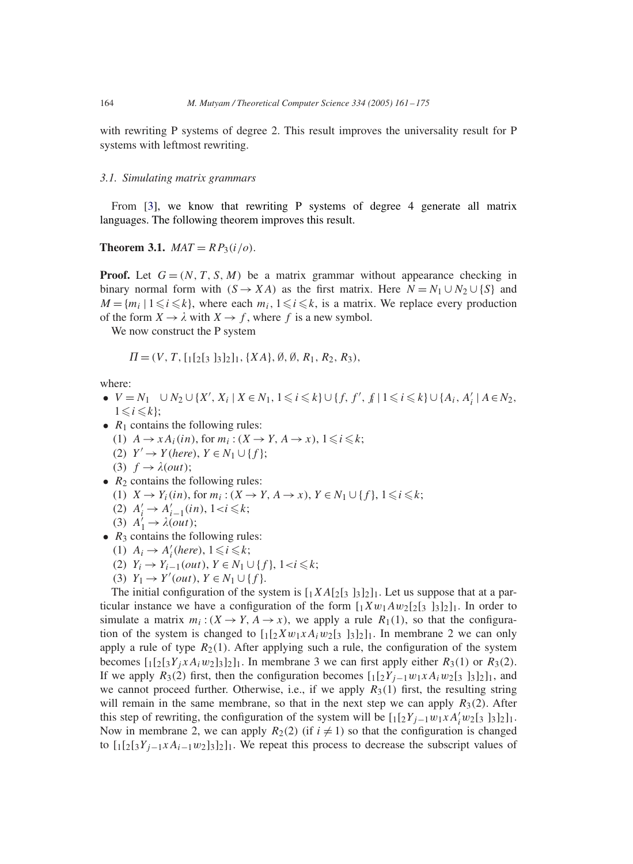with rewriting P systems of degree 2. This result improves the universality result for P systems with leftmost rewriting.

#### *3.1. Simulating matrix grammars*

From [3], we know that rewriting P systems of degree 4 generate all matrix languages. The following theorem improves this result.

#### **Theorem 3.1.** *MAT* =  $RP_3(i/\rho)$ .

**Proof.** Let  $G = (N, T, S, M)$  be a matrix grammar without appearance checking in binary normal form with  $(S \to XA)$  as the first matrix. Here  $N = N_1 \cup N_2 \cup \{S\}$  and  $M = \{m_i \mid 1 \leq i \leq k\}$ , where each  $m_i, 1 \leq i \leq k$ , is a matrix. We replace every production of the form  $X \to \lambda$  with  $X \to f$ , where f is a new symbol.

We now construct the P system

$$
\Pi = (V, T, [1[2[3 332], \{XA\}, \emptyset, \emptyset, R_1, R_2, R_3),
$$

where:

- $V = N_1 \cup N_2 \cup \{X', X_i \mid X \in N_1, 1 \leq i \leq k\} \cup \{f, f', f \mid 1 \leq i \leq k\} \cup \{A_i, A'_i \mid A \in N_2,$  $1 \leq i \leq k$ ;
- $R_1$  contains the following rules:
	- (1)  $A \rightarrow x A_i(in)$ , for  $m_i : (X \rightarrow Y, A \rightarrow x), 1 \leq i \leq k;$
	- (2)  $Y' \rightarrow Y(here), Y \in N_1 \cup \{f\};$
	- (3)  $f \rightarrow \lambda(out);$
- $R_2$  contains the following rules:
	- (1)  $X \to Y_i(in)$ , for  $m_i : (X \to Y, A \to x)$ ,  $Y \in N_1 \cup \{f\}$ ,  $1 \leq i \leq k$ ;
	- (2)  $A'_i \to A'_{i-1}(in)$ ,  $1 < i \leq k$ ;
	- (3)  $A'_1 \rightarrow \lambda(out);$
- $R_3$  contains the following rules:
	- (1)  $A_i \rightarrow A'_i$  (here),  $1 \leq i \leq k$ ;
	- (2)  $Y_i \to Y_{i-1}(out), Y \in N_1 \cup \{f\}, 1 < i \leq k;$
	- (3)  $Y_1 \to Y' (out), Y \in N_1 \cup \{f\}.$

The initial configuration of the system is  $[1XA[2]3]3]2]1$ . Let us suppose that at a particular instance we have a configuration of the form  $[1Xw_1Aw_2[2s_3]_3]_2]_1$ . In order to simulate a matrix  $m_i$ :  $(X \to Y, A \to x)$ , we apply a rule  $R_1(1)$ , so that the configuration of the system is changed to  $\left[\frac{1}{2}Xw_1xA_iw_2\right]$  [3]<sub>2</sub>]<sub>1</sub>. In membrane 2 we can only apply a rule of type  $R_2(1)$ . After applying such a rule, the configuration of the system becomes  $\left[\frac{1}{2}[\frac{3}{4}Y_i X A_i w_2] \frac{3}{2}\right]$ . In membrane 3 we can first apply either  $R_3(1)$  or  $R_3(2)$ . If we apply  $R_3(2)$  first, then the configuration becomes  $\left[\frac{1}{2}Y_{i-1}w_1xA_iw_2\left[\frac{3}{3}\right]\frac{3}{2}\right]_1$ , and we cannot proceed further. Otherwise, i.e., if we apply  $R_3(1)$  first, the resulting string will remain in the same membrane, so that in the next step we can apply  $R_3(2)$ . After this step of rewriting, the configuration of the system will be  $\left[\frac{1}{2}Y_{j-1}w_1xA'_i w_2\right]$   $\left[\frac{1}{3}I_2\right]_1$ . Now in membrane 2, we can apply  $R_2(2)$  (if  $i \neq 1$ ) so that the configuration is changed to  $\left[\frac{1}{2}[\frac{3}{Y_{i-1}x}A_{i-1}w_2]\frac{3}{2}\right]$ . We repeat this process to decrease the subscript values of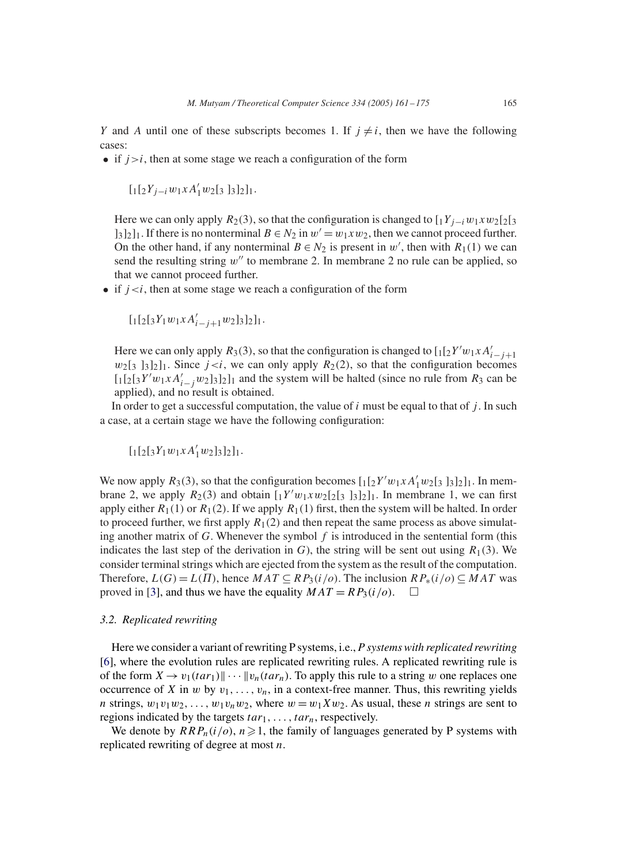Y and A until one of these subscripts becomes 1. If  $j \neq i$ , then we have the following cases:

• if  $j>i$ , then at some stage we reach a configuration of the form

$$
[1[^{2}Y_{j-i}w_{1}xA_{1}^{\prime}w_{2}[_3\;]_3]_2]_1.
$$

Here we can only apply  $R_2(3)$ , so that the configuration is changed to  $[1Y_{j-i}w_1xw_2[2]_3$  $\lfloor 3 \rfloor_2 \rfloor_1$ . If there is no nonterminal  $B \in N_2$  in  $w' = w_1 x w_2$ , then we cannot proceed further. On the other hand, if any nonterminal  $B \in N_2$  is present in w', then with  $R_1(1)$  we can send the resulting string  $w''$  to membrane 2. In membrane 2 no rule can be applied, so that we cannot proceed further.

• if  $j \lt i$ , then at some stage we reach a configuration of the form

$$
[1[2s]_3Y_1w_1xA_{i-j+1}'w_2]_3]_2]_1.
$$

Here we can only apply  $R_3(3)$ , so that the configuration is changed to  $\left[\frac{1}{2}Y'w_1xA'_i\right]_{j+1}$  $w_2$ [3 ]3]<sub>2</sub>]<sub>1</sub>. Since  $j < i$ , we can only apply  $R_2$ (2), so that the configuration becomes  $\left[\frac{1}{2}[3Y'w_1xA_1']$   $\frac{1}{2}[3]$  and the system will be halted (since no rule from  $R_3$  can be applied), and no result is obtained.

In order to get a successful computation, the value of  $i$  must be equal to that of  $j$ . In such a case, at a certain stage we have the following configuration:

$$
[\mathstrut_1[\mathstrut_2[\mathstrut_3 Y_1 w_1 x A_1' w_2]\mathstrut_3]\mathstrut_2]\mathstrut_1.
$$

We now apply  $R_3(3)$ , so that the configuration becomes  $\left[\frac{1}{2}Y'w_1xA'_1w_2\right]_3\left[\frac{1}{3}\right]_2\left]\left[\frac{1}{2}\right]_1\right]$ . In membrane 2, we apply  $R_2(3)$  and obtain  $\left[\frac{1}{2}V'w_1xw_2\right]\left[\frac{1}{2}\right]$  and  $\left[\frac{1}{2}\right]$  i. In membrane 1, we can first apply either  $R_1(1)$  or  $R_1(2)$ . If we apply  $R_1(1)$  first, then the system will be halted. In order to proceed further, we first apply  $R_1(2)$  and then repeat the same process as above simulating another matrix of G. Whenever the symbol  $f$  is introduced in the sentential form (this indicates the last step of the derivation in G), the string will be sent out using  $R_1(3)$ . We consider terminal strings which are ejected from the system as the result of the computation. Therefore,  $L(G) = L(\Pi)$ , hence  $MAT \subseteq RP_3(i/O)$ . The inclusion  $RP_*(i/O) \subseteq MAT$  was proved in [3], and thus we have the equality  $MAT = RP_3(i/\rho)$ .  $\Box$ 

# *3.2. Replicated rewriting*

Here we consider a variant of rewriting P systems, i.e., *P systems with replicated rewriting* [6], where the evolution rules are replicated rewriting rules. A replicated rewriting rule is of the form  $X \to v_1(tar_1) \cdots \cdots \cdots \cdots \cdots$  ( $v_n(tar_n)$ ). To apply this rule to a string w one replaces one occurrence of X in w by  $v_1, \ldots, v_n$ , in a context-free manner. Thus, this rewriting yields *n* strings,  $w_1v_1w_2,\ldots,w_1v_nw_2$ , where  $w = w_1Xw_2$ . As usual, these *n* strings are sent to regions indicated by the targets  $tar_1, \ldots, tar_n$ , respectively.

We denote by  $RRP_n(i/\rho), n\geq 1$ , the family of languages generated by P systems with replicated rewriting of degree at most n.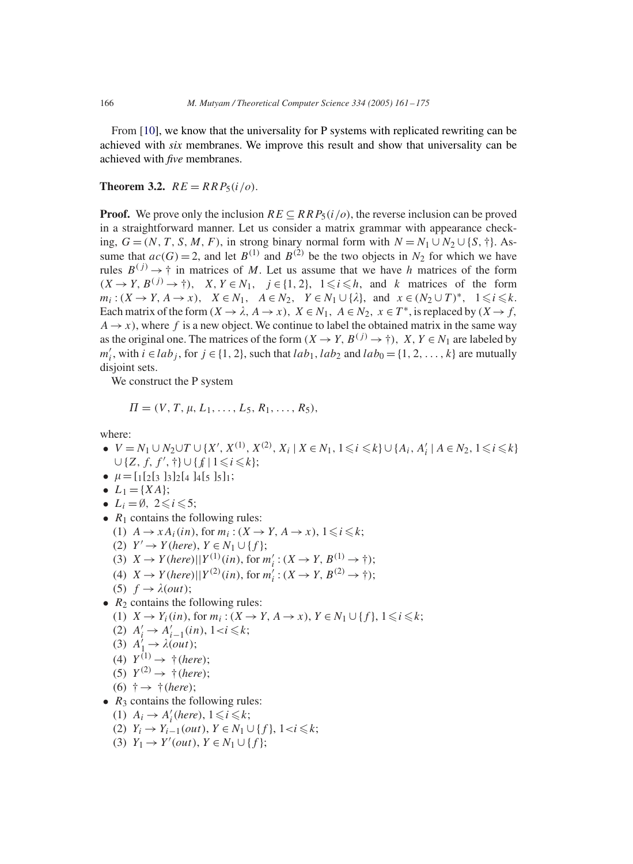From [10], we know that the universality for P systems with replicated rewriting can be achieved with *six* membranes. We improve this result and show that universality can be achieved with *five* membranes.

# **Theorem 3.2.**  $RE = RRP_5(i/\sigma)$ .

**Proof.** We prove only the inclusion  $RE \subseteq RRP_5(i|o)$ , the reverse inclusion can be proved in a straightforward manner. Let us consider a matrix grammar with appearance checking,  $G = (N, T, S, M, F)$ , in strong binary normal form with  $N = N_1 \cup N_2 \cup \{S, \dagger\}$ . Assume that  $ac(G) = 2$ , and let  $B^{(1)}$  and  $B^{(2)}$  be the two objects in  $N_2$  for which we have rules  $B^{(j)} \to \dagger$  in matrices of M. Let us assume that we have h matrices of the form  $(X \to Y, B^{(j)} \to \dagger)$ ,  $X, Y \in N_1$ ,  $j \in \{1, 2\}$ ,  $1 \leq i \leq h$ , and k matrices of the form  $m_i: (X \to Y, A \to x), \quad X \in N_1, \quad A \in N_2, \quad Y \in N_1 \cup \{\lambda\}, \text{ and } x \in (N_2 \cup T)^*, \quad 1 \leq i \leq k.$ Each matrix of the form  $(X \to \lambda, A \to x)$ ,  $X \in N_1$ ,  $A \in N_2$ ,  $x \in T^*$ , is replaced by  $(X \to f, A)$  $A \rightarrow x$ ), where f is a new object. We continue to label the obtained matrix in the same way as the original one. The matrices of the form  $(X \to Y, B^{(j)} \to \dagger)$ ,  $X, Y \in N_1$  are labeled by  $m'_i$ , with  $i \in lab_j$ , for  $j \in \{1, 2\}$ , such that  $lab_1, lab_2$  and  $lab_0 = \{1, 2, ..., k\}$  are mutually disjoint sets.

We construct the P system

$$
\Pi = (V, T, \mu, L_1, \ldots, L_5, R_1, \ldots, R_5),
$$

where:

- $V = N_1 \cup N_2 \cup T \cup \{X', X^{(1)}, X^{(2)}, X_i \mid X \in N_1, 1 \leq i \leq k\} \cup \{A_i, A'_i \mid A \in N_2, 1 \leq i \leq k\}$  $\cup \{Z, f, f', \dagger\} \cup \{f_i \mid 1 \leq i \leq k\};$
- $\mu = [1[2[3]3]2[4]4[5]5]1;$
- $L_1 = \{XA\};$
- $L_i = \emptyset$ ,  $2 \leq i \leq 5$ ;
- $R_1$  contains the following rules:
	- (1)  $A \rightarrow x A_i(in)$ , for  $m_i : (X \rightarrow Y, A \rightarrow x), 1 \leq i \leq k;$
	- (2)  $Y' \rightarrow Y(here), Y \in N_1 \cup \{f\};$
	- (3)  $X \to Y(here) || Y^{(1)}(in), \text{ for } m'_i : (X \to Y, B^{(1)} \to \dagger);$
	- (4)  $X \to Y(here) || Y^{(2)}(in)$ , for  $m'_i : (X \to Y, B^{(2)} \to \dagger);$
	- (5)  $f \rightarrow \lambda(out);$
- $R_2$  contains the following rules:
	- (1)  $X \to Y_i(in)$ , for  $m_i : (X \to Y, A \to x)$ ,  $Y \in N_1 \cup \{f\}$ ,  $1 \leq i \leq k$ ;
	- (2)  $A'_i \to A'_{i-1}(in)$ ,  $1 < i \leq k$ ;
	- (3)  $A'_1 \rightarrow \lambda(out);$
	- (4)  $Y^{(1)} \rightarrow \dagger$  (*here*);
	- (5)  $Y^{(2)} \rightarrow \dagger$  (*here*);
	- (6) †→ †(*here*);
- $R_3$  contains the following rules:
- (1)  $A_i \rightarrow A'_i$  (here),  $1 \leq i \leq k$ ;
- (2)  $Y_i \to Y_{i-1}(out), Y \in N_1 \cup \{f\}, 1 < i \leq k;$
- (3)  $Y_1 \to Y' (out), Y \in N_1 \cup \{f\};$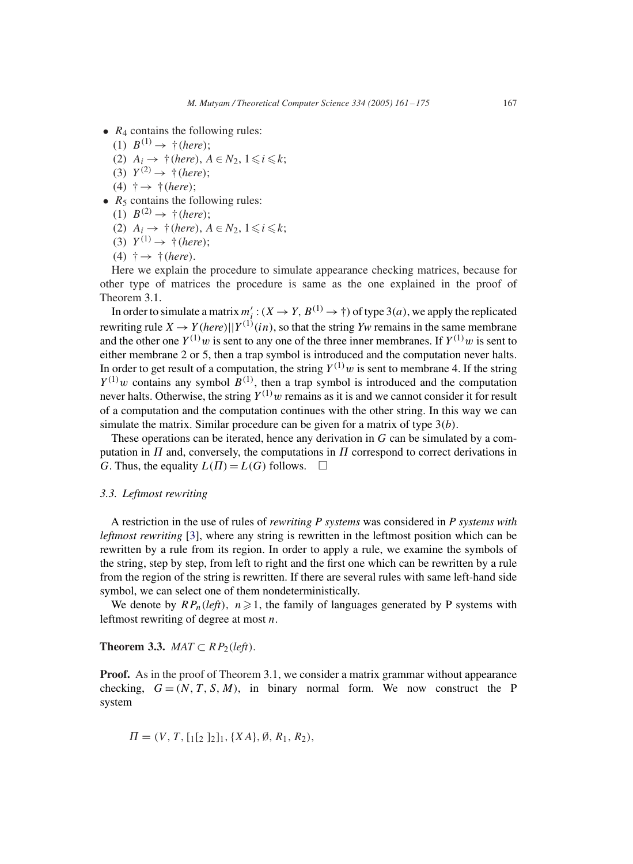- $R_4$  contains the following rules:
	- $(1) B^{(1)} \rightarrow \dagger$  (*here*);
	- (2)  $A_i \rightarrow \dagger$  (*here*),  $A \in N_2$ ,  $1 \leq i \leq k$ ;
	- (3)  $Y^{(2)} \rightarrow \dagger$  (*here*);
	- (4) †→ †(*here*);
- $R_5$  contains the following rules:
	- (1)  $B^{(2)} \rightarrow \dagger$  (*here*);
	- (2)  $A_i \rightarrow \dagger$  (*here*),  $A \in N_2$ ,  $1 \leq i \leq k$ ;
	- (3)  $Y^{(1)} \rightarrow \dagger$  (*here*);
	- (4) †→ †(*here*).

Here we explain the procedure to simulate appearance checking matrices, because for other type of matrices the procedure is same as the one explained in the proof of Theorem 3.1.

In order to simulate a matrix  $m'_i : (X \to Y, B^{(1)} \to \dagger)$  of type 3(*a*), we apply the replicated rewriting rule  $X \to Y(here) || Y^{(1)}(in)$ , so that the string *Yw* remains in the same membrane and the other one  $Y^{(1)}w$  is sent to any one of the three inner membranes. If  $Y^{(1)}w$  is sent to either membrane 2 or 5, then a trap symbol is introduced and the computation never halts. In order to get result of a computation, the string  $Y^{(1)}w$  is sent to membrane 4. If the string  $Y^{(1)}$ w contains any symbol  $B^{(1)}$ , then a trap symbol is introduced and the computation never halts. Otherwise, the string  $Y^{(1)}w$  remains as it is and we cannot consider it for result of a computation and the computation continues with the other string. In this way we can simulate the matrix. Similar procedure can be given for a matrix of type  $3(b)$ .

These operations can be iterated, hence any derivation in G can be simulated by a computation in  $\Pi$  and, conversely, the computations in  $\Pi$  correspond to correct derivations in G. Thus, the equality  $L(\Pi) = L(G)$  follows.  $\Box$ 

# *3.3. Leftmost rewriting*

A restriction in the use of rules of *rewriting P systems* was considered in *P systems with leftmost rewriting* [3], where any string is rewritten in the leftmost position which can be rewritten by a rule from its region. In order to apply a rule, we examine the symbols of the string, step by step, from left to right and the first one which can be rewritten by a rule from the region of the string is rewritten. If there are several rules with same left-hand side symbol, we can select one of them nondeterministically.

We denote by  $RP_n(\text{left})$ ,  $n \geq 1$ , the family of languages generated by P systems with leftmost rewriting of degree at most  $n$ .

**Theorem 3.3.** *MAT*  $\subset$   $RP_2(\text{left}).$ 

**Proof.** As in the proof of Theorem 3.1, we consider a matrix grammar without appearance checking,  $G = (N, T, S, M)$ , in binary normal form. We now construct the P system

 $\Pi = (V, T, [1[2]_2], {XA}, \emptyset, R_1, R_2),$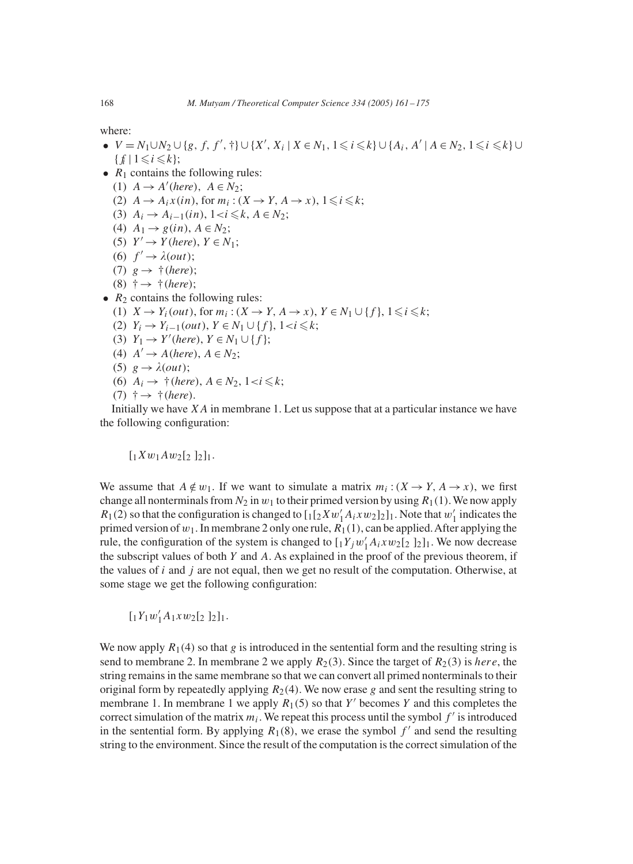where:

- $V = N_1 \cup N_2 \cup \{g, f, f', \dagger\} \cup \{X', X_i \mid X \in N_1, 1 \leq i \leq k\} \cup \{A_i, A' \mid A \in N_2, 1 \leq i \leq k\} \cup$  $\{f_i \mid 1 \leq i \leq k\};$
- $R_1$  contains the following rules:
	- (1)  $A \rightarrow A'(here)$ ,  $A \in N_2$ ;
	- (2)  $A \rightarrow A_i x (in)$ , for  $m_i : (X \rightarrow Y, A \rightarrow x)$ ,  $1 \leq i \leq k$ ;
	- (3)  $A_i \to A_{i-1}(in)$ ,  $1 < i \leq k$ ,  $A \in N_2$ ;
	- (4)  $A_1 \rightarrow g(in)$ ,  $A \in N_2$ ;
	- (5)  $Y' \rightarrow Y(here)$ ,  $Y \in N_1$ ;
	- (6)  $f' \rightarrow \lambda(out);$
	- (7)  $g \rightarrow \dagger$  (*here*);
	- (8) †→ †(*here*);
- $R_2$  contains the following rules:
	- (1)  $X \to Y_i(out)$ , for  $m_i : (X \to Y, A \to x)$ ,  $Y \in N_1 \cup \{f\}$ ,  $1 \leq i \leq k$ ;
	- (2)  $Y_i \to Y_{i-1}(out), Y \in N_1 \cup \{f\}, 1 < i \leq k;$
	- (3)  $Y_1 \to Y'$  (here),  $Y \in N_1 \cup \{f\};$
	- (4)  $A' \rightarrow A(here)$ ,  $A \in N_2$ ;
	- (5)  $g \rightarrow \lambda(out);$
	- (6)  $A_i \rightarrow \dagger$  (*here*),  $A \in N_2$ ,  $1 < i \leq k$ ;
	- $(7)$   $\dagger \rightarrow \dagger$  (*here*).

Initially we have  $XA$  in membrane 1. Let us suppose that at a particular instance we have the following configuration:

 $[1Xw_1Aw_2[2]_2]_1.$ 

We assume that  $A \notin w_1$ . If we want to simulate a matrix  $m_i : (X \to Y, A \to x)$ , we first change all nonterminals from  $N_2$  in  $w_1$  to their primed version by using  $R_1(1)$ . We now apply  $R_1(2)$  so that the configuration is changed to  $\left[\frac{1}{2}Xw_1'A_1xw_2\right]_1$ . Note that  $w_1'$  indicates the primed version of  $w_1$ . In membrane 2 only one rule,  $R_1(1)$ , can be applied. After applying the rule, the configuration of the system is changed to  $[1Y_jw_1'A_ixw_2[2]_2]_1$ . We now decrease the subscript values of both Y and A. As explained in the proof of the previous theorem, if the values of  $i$  and  $j$  are not equal, then we get no result of the computation. Otherwise, at some stage we get the following configuration:

 $[1Y_1w'_1A_1xw_2[_2]_2]_1.$ 

We now apply  $R_1(4)$  so that g is introduced in the sentential form and the resulting string is send to membrane 2. In membrane 2 we apply  $R_2(3)$ . Since the target of  $R_2(3)$  is here, the string remains in the same membrane so that we can convert all primed nonterminals to their original form by repeatedly applying  $R_2(4)$ . We now erase g and sent the resulting string to membrane 1. In membrane 1 we apply  $R_1(5)$  so that Y' becomes Y and this completes the correct simulation of the matrix  $m_i$ . We repeat this process until the symbol  $f'$  is introduced in the sentential form. By applying  $R_1(8)$ , we erase the symbol  $f'$  and send the resulting string to the environment. Since the result of the computation is the correct simulation of the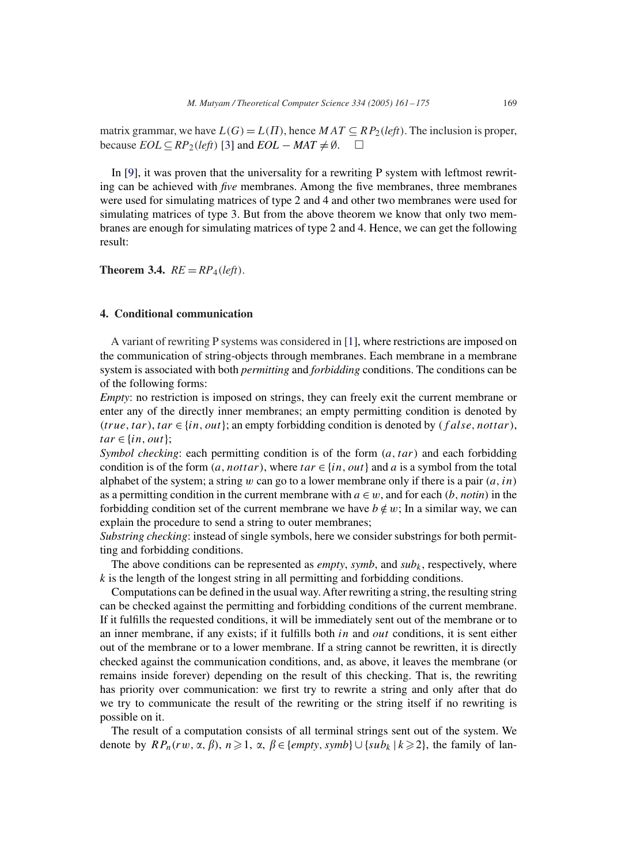matrix grammar, we have  $L(G) = L(\Pi)$ , hence  $MAT \subseteq RP_2(left)$ . The inclusion is proper, because  $EOL \subseteq RP_2(\text{left})$  [3] and  $EOL - MAT \neq \emptyset$ . □

In [9], it was proven that the universality for a rewriting P system with leftmost rewriting can be achieved with *five* membranes. Among the five membranes, three membranes were used for simulating matrices of type 2 and 4 and other two membranes were used for simulating matrices of type 3. But from the above theorem we know that only two membranes are enough for simulating matrices of type 2 and 4. Hence, we can get the following result:

**Theorem 3.4.**  $RE = RP_4(\text{left}).$ 

# **4. Conditional communication**

A variant of rewriting P systems was considered in [1], where restrictions are imposed on the communication of string-objects through membranes. Each membrane in a membrane system is associated with both *permitting* and *forbidding* conditions. The conditions can be of the following forms:

*Empty*: no restriction is imposed on strings, they can freely exit the current membrane or enter any of the directly inner membranes; an empty permitting condition is denoted by (true, tar), tar  $\in \{in, out\}$ ; an empty forbidding condition is denoted by  $(false, nottar)$ ,  $tar \in \{in, out\};$ 

*Symbol checking*: each permitting condition is of the form  $(a, tar)$  and each forbidding condition is of the form  $(a, not tar)$ , where  $tar \in \{in, out\}$  and a is a symbol from the total alphabet of the system; a string w can go to a lower membrane only if there is a pair  $(a, in)$ as a permitting condition in the current membrane with  $a \in w$ , and for each  $(b, \text{notin})$  in the forbidding condition set of the current membrane we have  $b \notin w$ ; In a similar way, we can explain the procedure to send a string to outer membranes;

*Substring checking*: instead of single symbols, here we consider substrings for both permitting and forbidding conditions.

The above conditions can be represented as *empty*, *symb*, and  $sub<sub>k</sub>$ , respectively, where  $k$  is the length of the longest string in all permitting and forbidding conditions.

Computations can be defined in the usual way.After rewriting a string, the resulting string can be checked against the permitting and forbidding conditions of the current membrane. If it fulfills the requested conditions, it will be immediately sent out of the membrane or to an inner membrane, if any exists; if it fulfills both in and *out* conditions, it is sent either out of the membrane or to a lower membrane. If a string cannot be rewritten, it is directly checked against the communication conditions, and, as above, it leaves the membrane (or remains inside forever) depending on the result of this checking. That is, the rewriting has priority over communication: we first try to rewrite a string and only after that do we try to communicate the result of the rewriting or the string itself if no rewriting is possible on it.

The result of a computation consists of all terminal strings sent out of the system. We denote by  $RP_n(rw, \alpha, \beta), n \geq 1, \alpha, \beta \in \{empty, symbol\} \cup \{subk | k \geq 2\}$ , the family of lan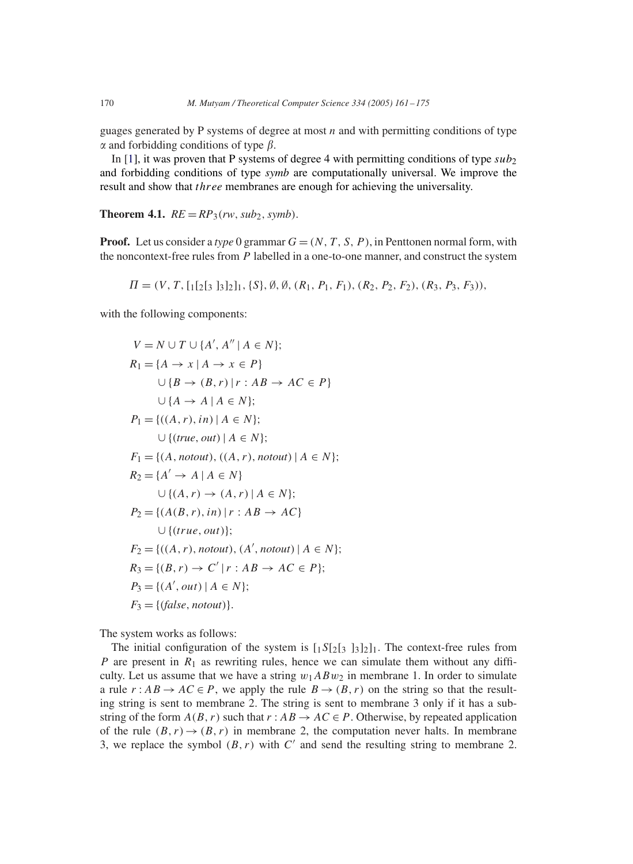guages generated by P systems of degree at most  $n$  and with permitting conditions of type  $\alpha$  and forbidding conditions of type  $\beta$ .

In [1], it was proven that P systems of degree 4 with permitting conditions of type  $sub<sub>2</sub>$ and forbidding conditions of type *symb* are computationally universal. We improve the result and show that three membranes are enough for achieving the universality.

**Theorem 4.1.**  $RE = RP_3(rw, sub_2, symbol)$ .

**Proof.** Let us consider a *type* 0 grammar  $G = (N, T, S, P)$ , in Penttonen normal form, with the noncontext-free rules from P labelled in a one-to-one manner, and construct the system

$$
\Pi = (V, T, [1[2[3 332], [58], \emptyset, \emptyset, (R_1, P_1, F_1), (R_2, P_2, F_2), (R_3, P_3, F_3)),
$$

with the following components:

$$
V = N \cup T \cup \{A', A'' \mid A \in N\};
$$
  
\n
$$
R_1 = \{A \rightarrow x \mid A \rightarrow x \in P\}
$$
  
\n
$$
\cup \{B \rightarrow (B, r) \mid r : AB \rightarrow AC \in P\}
$$
  
\n
$$
\cup \{A \rightarrow A \mid A \in N\};
$$
  
\n
$$
P_1 = \{((A, r), in) \mid A \in N\};
$$
  
\n
$$
F_1 = \{(A, notout), ((A, r), notout) \mid A \in N\};
$$
  
\n
$$
R_2 = \{A' \rightarrow A \mid A \in N\}
$$
  
\n
$$
\cup \{(A, r) \rightarrow (A, r) \mid A \in N\};
$$
  
\n
$$
P_2 = \{(A(B, r), in) \mid r : AB \rightarrow AC\}
$$
  
\n
$$
\cup \{(true, out)\};
$$
  
\n
$$
F_2 = \{((A, r), notout), (A', notout) \mid A \in N\};
$$
  
\n
$$
R_3 = \{(B, r) \rightarrow C' \mid r : AB \rightarrow AC \in P\};
$$
  
\n
$$
P_3 = \{(A', out) \mid A \in N\};
$$
  
\n
$$
F_3 = \{(false, notout)\}.
$$

The system works as follows:

The initial configuration of the system is  $[1S[2]3]3]2]1$ . The context-free rules from P are present in  $R_1$  as rewriting rules, hence we can simulate them without any difficulty. Let us assume that we have a string  $w_1ABw_2$  in membrane 1. In order to simulate a rule  $r: AB \to AC \in P$ , we apply the rule  $B \to (B, r)$  on the string so that the resulting string is sent to membrane 2. The string is sent to membrane 3 only if it has a substring of the form  $A(B, r)$  such that  $r : AB \to AC \in P$ . Otherwise, by repeated application of the rule  $(B, r) \rightarrow (B, r)$  in membrane 2, the computation never halts. In membrane 3, we replace the symbol  $(B, r)$  with  $C'$  and send the resulting string to membrane 2.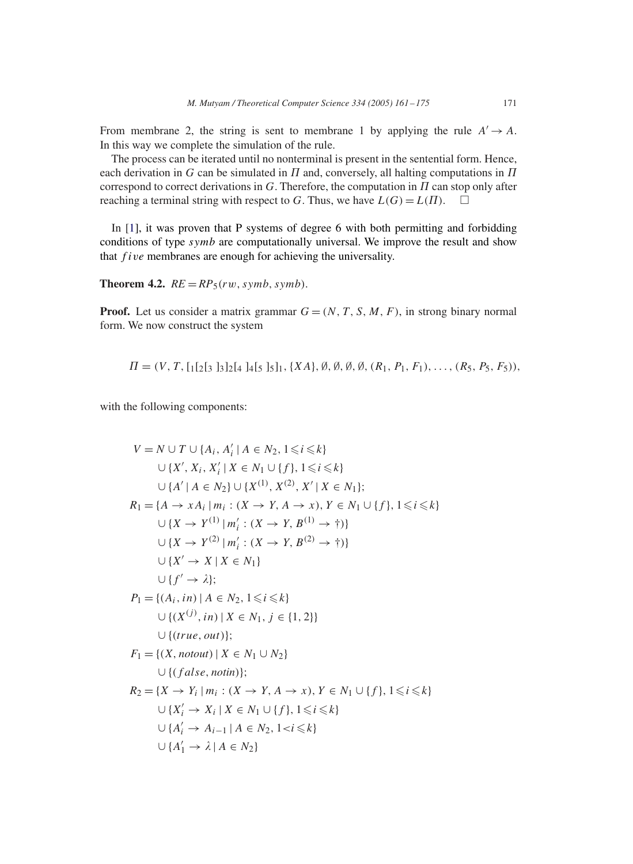From membrane 2, the string is sent to membrane 1 by applying the rule  $A' \rightarrow A$ . In this way we complete the simulation of the rule.

The process can be iterated until no nonterminal is present in the sentential form. Hence, each derivation in G can be simulated in  $\Pi$  and, conversely, all halting computations in  $\Pi$ correspond to correct derivations in  $G$ . Therefore, the computation in  $\Pi$  can stop only after reaching a terminal string with respect to G. Thus, we have  $L(G) = L(\Pi)$ .  $\square$ 

In [1], it was proven that P systems of degree 6 with both permitting and forbidding conditions of type symb are computationally universal. We improve the result and show that five membranes are enough for achieving the universality.

**Theorem 4.2.**  $RE = RP<sub>5</sub>(rw, symbol, symbol)$ .

**Proof.** Let us consider a matrix grammar  $G = (N, T, S, M, F)$ , in strong binary normal form. We now construct the system

$$
\Pi = (V, T, [1[2[3]3]2[4]4[5]5], \{XA\}, \emptyset, \emptyset, \emptyset, \emptyset, (R_1, P_1, F_1), \ldots, (R_5, P_5, F_5)),
$$

with the following components:

$$
V = N \cup T \cup \{A_i, A'_i \mid A \in N_2, 1 \leq i \leq k\}
$$
  
\n
$$
\cup \{X', X_i, X'_i \mid X \in N_1 \cup \{f\}, 1 \leq i \leq k\}
$$
  
\n
$$
\cup \{A' \mid A \in N_2\} \cup \{X^{(1)}, X^{(2)}, X' \mid X \in N_1\};
$$
  
\n
$$
R_1 = \{A \rightarrow xA_i \mid m_i : (X \rightarrow Y, A \rightarrow x), Y \in N_1 \cup \{f\}, 1 \leq i \leq k\}
$$
  
\n
$$
\cup \{X \rightarrow Y^{(1)} \mid m'_i : (X \rightarrow Y, B^{(1)} \rightarrow \dagger)\}
$$
  
\n
$$
\cup \{X' \rightarrow X \mid X \in N_1\}
$$
  
\n
$$
\cup \{f' \rightarrow \lambda\};
$$
  
\n
$$
P_1 = \{(A_i, in) \mid A \in N_2, 1 \leq i \leq k\}
$$
  
\n
$$
\cup \{(X^{(j)}, in) \mid X \in N_1, j \in \{1, 2\}\}
$$
  
\n
$$
\cup \{(true, out)\};
$$
  
\n
$$
F_1 = \{(X, notout) \mid X \in N_1 \cup N_2\}
$$
  
\n
$$
\cup \{(false, notin)\};
$$
  
\n
$$
R_2 = \{X \rightarrow Y_i \mid m_i : (X \rightarrow Y, A \rightarrow x), Y \in N_1 \cup \{f\}, 1 \leq i \leq k\}
$$
  
\n
$$
\cup \{X'_i \rightarrow X_i \mid X \in N_1 \cup \{f\}, 1 \leq i \leq k\}
$$
  
\n
$$
\cup \{A'_i \rightarrow A_{i-1} \mid A \in N_2, 1 < i \leq k\}
$$
  
\n
$$
\cup \{A'_1 \rightarrow \lambda \mid A \in N_2\}
$$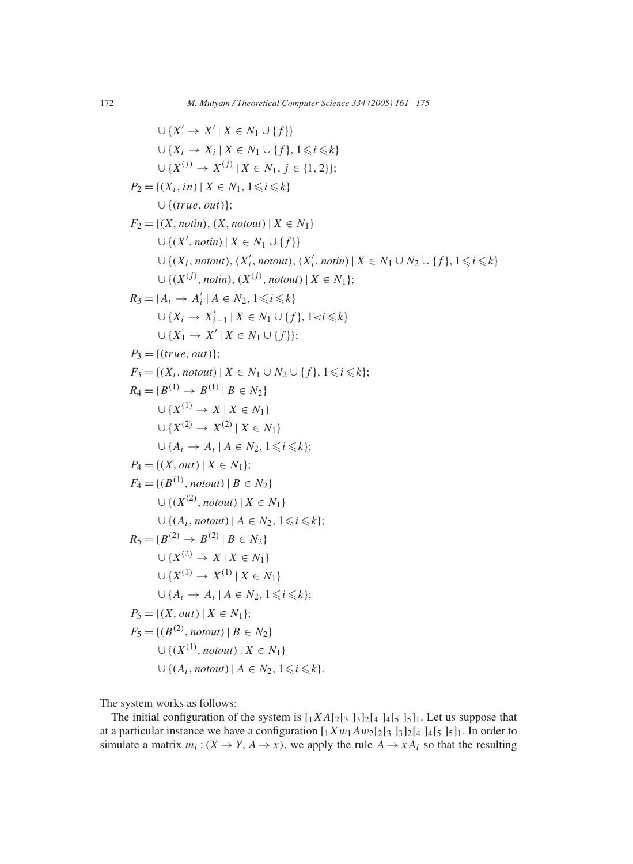$$
∪\{X' \rightarrow X' | X \in N_1 \cup \{f\}\}\
$$
  
\n
$$
∪\{X_i \rightarrow X_i | X \in N_1 \cup \{f\}, 1 \leq i \leq k\}\
$$
  
\n
$$
∪\{X^{(j)} \rightarrow X^{(j)} | X \in N_1, j \in \{1, 2\}\};
$$
  
\n
$$
P_2 = \{(X_i, in) | X \in N_1, 1 \leq i \leq k\}\
$$
  
\n
$$
∪\{(true, out)\};
$$
  
\n
$$
F_2 = \{(X, notin), (X, notout) | X \in N_1\}\
$$
  
\n
$$
∪\{(X', notin), (X'_i, notout), (X'_i, notin) | X \in N_1 \cup N_2 \cup \{f\}, 1 \leq i \leq k\}\
$$
  
\n
$$
∪\{(X^{(j)}, notin), (X^{(j)}, notout) | X \in N_1\};
$$
  
\n
$$
R_3 = \{A_i \rightarrow A'_i | A \in N_2, 1 \leq i \leq k\}
$$
  
\n
$$
∪\{X_i \rightarrow X'_{i-1} | X \in N_1 \cup \{f\}, 1 \leq i \leq k\}
$$
  
\n
$$
∪\{X_1 \rightarrow X' | X \in N_1 \cup \{f\}, 1 \leq i \leq k\}
$$
  
\n
$$
P_3 = \{(true, out)\};
$$
  
\n
$$
P_3 = \{(true, out)\};
$$
  
\n
$$
P_4 = \{B^{(1)} \rightarrow B^{(1)} | B \in N_2\}
$$
  
\n
$$
∪\{X^{(2)} \rightarrow X^{(2)} | X \in N_1\}
$$
  
\n
$$
∪\{A_i \rightarrow A_i | A \in N_2, 1 \leq i \leq k\};
$$
  
\n
$$
P_4 = \{(C, out) | X \in N_1\};
$$
  
\n
$$
P_5 = \{(B^{(1)}, notout) | B \in N_2\}
$$
  
\n
$$
V_{\{A_i, notout\} | B \in N_2\}
$$
  
\n
$$
V_{\{A_i, notout\} | A \in N_2, 1
$$

The system works as follows:

The initial configuration of the system is  $[1XA[2]3]3]2[4]4[5]3]1$ . Let us suppose that at a particular instance we have a configuration  $[1 X w_1 A w_2 [2]_3 3]_2 [4]_4 [5]_5]_1$ . In order to simulate a matrix  $m_i$ :  $(X \to Y, A \to x)$ , we apply the rule  $A \to xA_i$  so that the resulting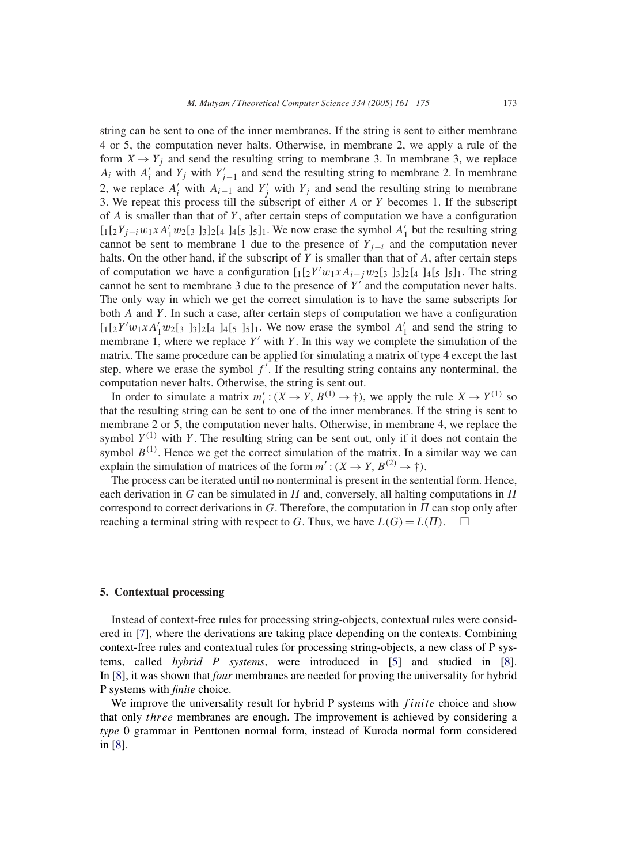string can be sent to one of the inner membranes. If the string is sent to either membrane 4 or 5, the computation never halts. Otherwise, in membrane 2, we apply a rule of the form  $X \rightarrow Y_i$  and send the resulting string to membrane 3. In membrane 3, we replace  $A_i$  with  $A'_i$  and  $Y_j$  with  $Y'_{j-1}$  and send the resulting string to membrane 2. In membrane 2, we replace  $A'_i$  with  $A_{i-1}$  and  $Y'_j$  with  $Y_j$  and send the resulting string to membrane 3. We repeat this process till the subscript of either A or Y becomes 1. If the subscript of  $A$  is smaller than that of  $Y$ , after certain steps of computation we have a configuration  $[1[2Y_{j-i}w_1xA'_1w_2]_3]_3]_2[4]_4[5]_5]_1$ . We now erase the symbol  $A'_1$  but the resulting string cannot be sent to membrane 1 due to the presence of  $Y_{j-i}$  and the computation never halts. On the other hand, if the subscript of  $Y$  is smaller than that of  $A$ , after certain steps of computation we have a configuration  $\left[\frac{1}{2}Y'w_1xA_{i-j}w_2\right]$  and  $\left[\frac{1}{2}\right]$  and  $\left[\frac{1}{2}\right]$ . The string cannot be sent to membrane 3 due to the presence of  $Y'$  and the computation never halts. The only way in which we get the correct simulation is to have the same subscripts for both  $A$  and  $Y$ . In such a case, after certain steps of computation we have a configuration  $\left[\frac{1}{2}Y'w_1xA'_1w_2\right]$   $\left[\frac{1}{3}\right]_2\left[\frac{1}{4}\right]_4\left[\frac{1}{5}\right]_1$ . We now erase the symbol  $A'_1$  and send the string to membrane 1, where we replace  $Y'$  with Y. In this way we complete the simulation of the matrix. The same procedure can be applied for simulating a matrix of type 4 except the last step, where we erase the symbol  $f'$ . If the resulting string contains any nonterminal, the computation never halts. Otherwise, the string is sent out.

In order to simulate a matrix  $m'_i$ :  $(X \to Y, B^{(1)} \to \dagger)$ , we apply the rule  $X \to Y^{(1)}$  so that the resulting string can be sent to one of the inner membranes. If the string is sent to membrane 2 or 5, the computation never halts. Otherwise, in membrane 4, we replace the symbol  $Y^{(1)}$  with Y. The resulting string can be sent out, only if it does not contain the symbol  $B^{(1)}$ . Hence we get the correct simulation of the matrix. In a similar way we can explain the simulation of matrices of the form  $m': (X \rightarrow Y, B^{(2)} \rightarrow \dagger)$ .

The process can be iterated until no nonterminal is present in the sentential form. Hence, each derivation in G can be simulated in  $\Pi$  and, conversely, all halting computations in  $\Pi$ correspond to correct derivations in  $G$ . Therefore, the computation in  $\Pi$  can stop only after reaching a terminal string with respect to G. Thus, we have  $L(G) = L(\Pi)$ .

#### **5. Contextual processing**

Instead of context-free rules for processing string-objects, contextual rules were considered in [7], where the derivations are taking place depending on the contexts. Combining context-free rules and contextual rules for processing string-objects, a new class of P systems, called *hybrid P systems*, were introduced in [5] and studied in [8]. In [8], it was shown that *four* membranes are needed for proving the universality for hybrid P systems with *finite* choice.

We improve the universality result for hybrid P systems with  $finite$  choice and show that only three membranes are enough. The improvement is achieved by considering a *type* 0 grammar in Penttonen normal form, instead of Kuroda normal form considered in [8].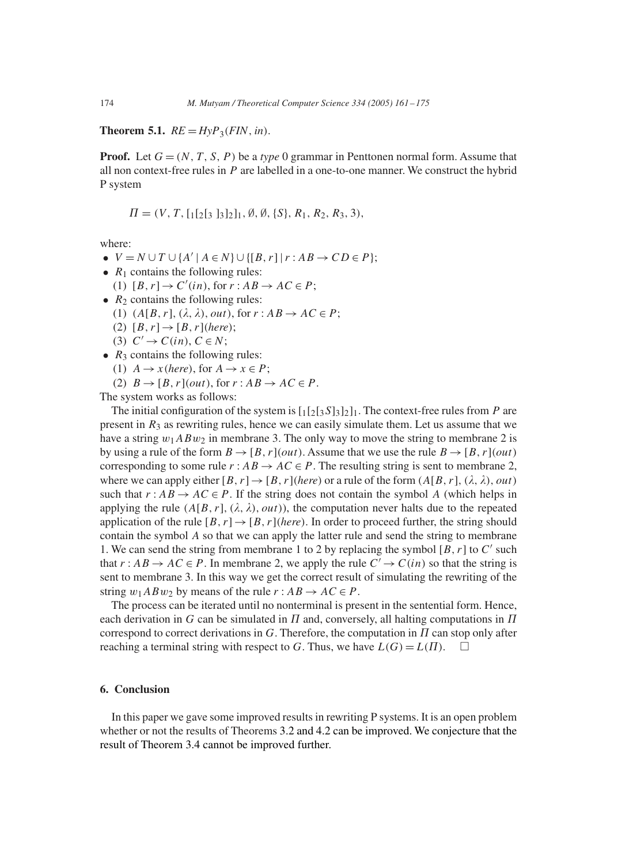**Theorem 5.1.**  $RE = Hyp_3(FIN, in)$ .

**Proof.** Let  $G = (N, T, S, P)$  be a *type* 0 grammar in Penttonen normal form. Assume that all non context-free rules in  $P$  are labelled in a one-to-one manner. We construct the hybrid P system

$$
\Pi = (V, T, [1[2[3\ 3]2]1, \emptyset, \emptyset, \{S\}, R_1, R_2, R_3, 3),
$$

where:

- $V = N \cup T \cup \{A' \mid A \in N\} \cup \{[B, r] \mid r : AB \rightarrow CD \in P\};$
- $R_1$  contains the following rules: (1)  $[B, r] \rightarrow C'(in)$ , for  $r : AB \rightarrow AC \in P$ ;
- $R_2$  contains the following rules:
	- (1)  $(A[B, r], (\lambda, \lambda), out),$  for  $r : AB \rightarrow AC \in P$ ;
	- (2)  $[B, r] \rightarrow [B, r]$ (*here*);
	- (3)  $C' \rightarrow C(in)$ ,  $C \in N$ ;
- $R_3$  contains the following rules:
	- (1)  $A \rightarrow x$  (*here*), for  $A \rightarrow x \in P$ ;
	- (2)  $B \rightarrow [B, r](out)$ , for  $r : AB \rightarrow AC \in P$ .

The system works as follows:

The initial configuration of the system is  $\lceil \frac{1}{2} \rceil \lceil \frac{3}{2} \rceil \lceil \frac{1}{2} \rceil$ . The context-free rules from P are present in  $R_3$  as rewriting rules, hence we can easily simulate them. Let us assume that we have a string  $w_1ABw_2$  in membrane 3. The only way to move the string to membrane 2 is by using a rule of the form  $B \to [B, r](out)$ . Assume that we use the rule  $B \to [B, r](out)$ corresponding to some rule  $r : AB \rightarrow AC \in P$ . The resulting string is sent to membrane 2, where we can apply either  $[B, r] \rightarrow [B, r]$  *(here*) or a rule of the form  $(A[B, r], (\lambda, \lambda), out)$ such that  $r : AB \to AC \in P$ . If the string does not contain the symbol A (which helps in applying the rule  $(A[B, r], (\lambda, \lambda), out)$ , the computation never halts due to the repeated application of the rule  $[B, r] \rightarrow [B, r]$  (*here*). In order to proceed further, the string should contain the symbol A so that we can apply the latter rule and send the string to membrane 1. We can send the string from membrane 1 to 2 by replacing the symbol  $[B, r]$  to  $C'$  such that  $r: AB \to AC \in P$ . In membrane 2, we apply the rule  $C' \to C(in)$  so that the string is sent to membrane 3. In this way we get the correct result of simulating the rewriting of the string  $w_1ABw_2$  by means of the rule  $r: AB \rightarrow AC \in P$ .

The process can be iterated until no nonterminal is present in the sentential form. Hence, each derivation in G can be simulated in  $\Pi$  and, conversely, all halting computations in  $\Pi$ correspond to correct derivations in  $G$ . Therefore, the computation in  $\Pi$  can stop only after reaching a terminal string with respect to G. Thus, we have  $L(G) = L(\Pi)$ .  $\square$ 

# **6. Conclusion**

In this paper we gave some improved results in rewriting P systems. It is an open problem whether or not the results of Theorems 3.2 and 4.2 can be improved. We conjecture that the result of Theorem 3.4 cannot be improved further.